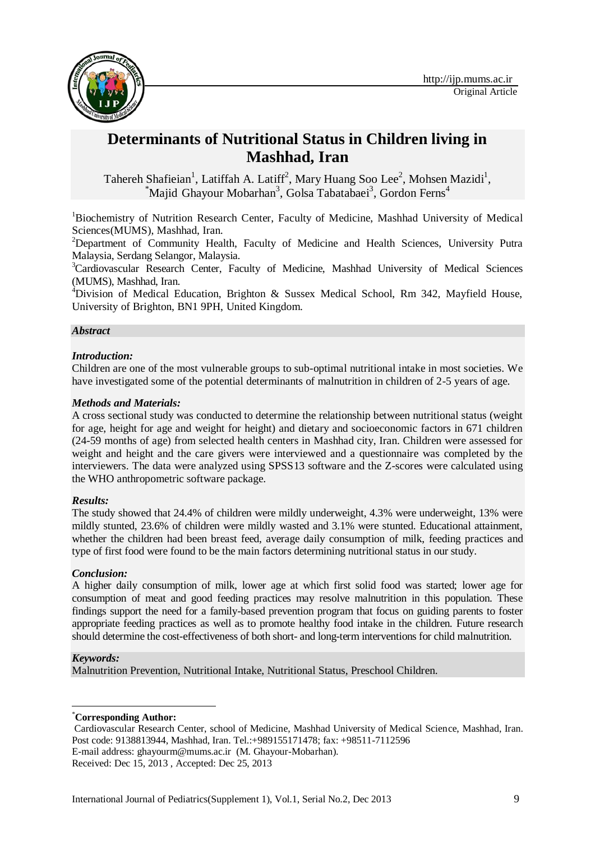

# **Determinants of Nutritional Status in Children living in Mashhad, Iran**

Tahereh Shafieian<sup>1</sup>, Latiffah A. Latiff<sup>2</sup>, Mary Huang Soo Lee<sup>2</sup>, Mohsen Mazidi<sup>1</sup>, \*Majid Ghayour Mobarhan<sup>3</sup>, Golsa Tabatabaei<sup>3</sup>, Gordon Ferns<sup>4</sup>

<sup>1</sup>Biochemistry of Nutrition Research Center, Faculty of Medicine, Mashhad University of Medical Sciences(MUMS), Mashhad, Iran.

<sup>2</sup>Department of Community Health, Faculty of Medicine and Health Sciences, University Putra Malaysia, Serdang Selangor, Malaysia.

<sup>3</sup>Cardiovascular Research Center, Faculty of Medicine, Mashhad University of Medical Sciences (MUMS), Mashhad, Iran.

<sup>4</sup>Division of Medical Education, Brighton & Sussex Medical School, Rm 342, Mayfield House, University of Brighton, BN1 9PH, United Kingdom.

### *Abstract*

#### *Introduction:*

Children are one of the most vulnerable groups to sub-optimal nutritional intake in most societies. We have investigated some of the potential determinants of malnutrition in children of 2-5 years of age.

#### *Methods and Materials:*

A cross sectional study was conducted to determine the relationship between nutritional status (weight for age, height for age and weight for height) and dietary and socioeconomic factors in 671 children (24-59 months of age) from selected health centers in Mashhad city, Iran. Children were assessed for weight and height and the care givers were interviewed and a questionnaire was completed by the interviewers. The data were analyzed using SPSS13 software and the Z-scores were calculated using the WHO anthropometric software package.

### *Results:*

The study showed that 24.4% of children were mildly underweight, 4.3% were underweight, 13% were mildly stunted, 23.6% of children were mildly wasted and 3.1% were stunted. Educational attainment, whether the children had been breast feed, average daily consumption of milk, feeding practices and type of first food were found to be the main factors determining nutritional status in our study.

### *Conclusion:*

A higher daily consumption of milk, lower age at which first solid food was started; lower age for consumption of meat and good feeding practices may resolve malnutrition in this population. These findings support the need for a family-based prevention program that focus on guiding parents to foster appropriate feeding practices as well as to promote healthy food intake in the children. Future research should determine the cost-effectiveness of both short- and long-term interventions for child malnutrition.

#### *Keywords:*

-

Malnutrition Prevention, Nutritional Intake, Nutritional Status, Preschool Children.

\***Corresponding Author:**

Cardiovascular Research Center, school of Medicine, Mashhad University of Medical Science, Mashhad, Iran. Post code: 9138813944, Mashhad, Iran. Tel.:+989155171478; fax: +98511-7112596 E-mail address: [ghayourm@mums.ac.ir](mailto:ghayourm@mums.ac.ir) (M. Ghayour-Mobarhan).

Received: Dec 15, 2013 , Accepted: Dec 25, 2013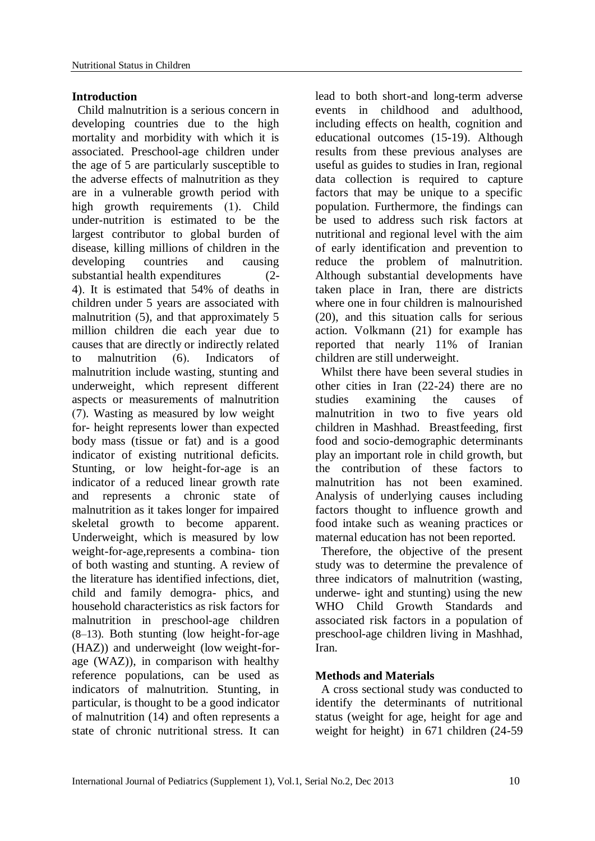### **Introduction**

Child malnutrition is a serious concern in developing countries due to the high mortality and morbidity with which it is associated. Preschool-age children under the age of 5 are particularly susceptible to the adverse effects of malnutrition as they are in a vulnerable growth period with high growth requirements (1). Child under-nutrition is estimated to be the largest contributor to global burden of disease, killing millions of children in the developing countries and causing substantial health expenditures (2- 4). It is estimated that 54% of deaths in children under 5 years are associated with malnutrition  $(5)$ , and that approximately 5 million children die each year due to causes that are directly or indirectly related to malnutrition (6). Indicators of malnutrition include wasting, stunting and underweight, which represent different aspects or measurements of malnutrition (7). Wasting as measured by low weight for- height represents lower than expected body mass (tissue or fat) and is a good indicator of existing nutritional deficits. Stunting, or low height-for-age is an indicator of a reduced linear growth rate and represents a chronic state of malnutrition as it takes longer for impaired skeletal growth to become apparent. Underweight, which is measured by low weight-for-age,represents a combina- tion of both wasting and stunting. A review of the literature has identified infections, diet, child and family demogra- phics, and household characteristics as risk factors for malnutrition in preschool-age children (8–13). Both stunting (low height-for-age (HAZ)) and underweight (low weight-forage (WAZ)), in comparison with healthy reference populations, can be used as indicators of malnutrition. Stunting, in particular, is thought to be a good indicator of malnutrition (14) and often represents a state of chronic nutritional stress. It can

lead to both short-and long-term adverse events in childhood and adulthood, including effects on health, cognition and educational outcomes (15-19). Although results from these previous analyses are useful as guides to studies in Iran, regional data collection is required to capture factors that may be unique to a specific population. Furthermore, the findings can be used to address such risk factors at nutritional and regional level with the aim of early identification and prevention to reduce the problem of malnutrition. Although substantial developments have taken place in Iran, there are districts where one in four children is malnourished (20), and this situation calls for serious action. Volkmann (21) for example has reported that nearly 11% of Iranian children are still underweight.

Whilst there have been several studies in other cities in Iran (22-24) there are no studies examining the causes of malnutrition in two to five years old children in Mashhad. Breastfeeding, first food and socio-demographic determinants play an important role in child growth, but the contribution of these factors to malnutrition has not been examined. Analysis of underlying causes including factors thought to influence growth and food intake such as weaning practices or maternal education has not been reported.

Therefore, the objective of the present study was to determine the prevalence of three indicators of malnutrition (wasting, underwe- ight and stunting) using the new WHO Child Growth Standards and associated risk factors in a population of preschool-age children living in Mashhad, Iran.

### **Methods and Materials**

A cross sectional study was conducted to identify the determinants of nutritional status (weight for age, height for age and weight for height) in 671 children (24-59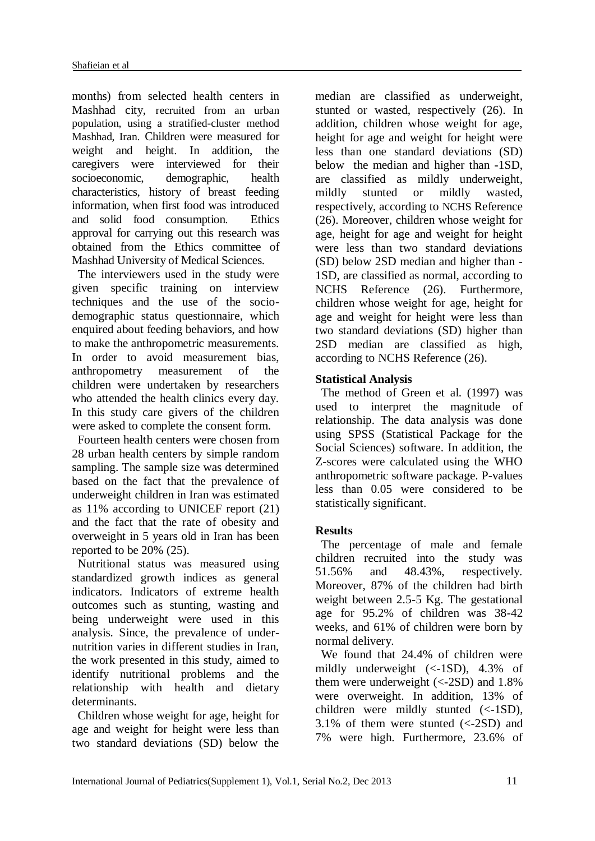months) from selected health centers in Mashhad city, recruited from an urban population, using a stratified-cluster method Mashhad, Iran. Children were measured for weight and height. In addition, the caregivers were interviewed for their socioeconomic, demographic, health characteristics, history of breast feeding information, when first food was introduced and solid food consumption. Ethics approval for carrying out this research was obtained from the Ethics committee of Mashhad University of Medical Sciences.

The interviewers used in the study were given specific training on interview techniques and the use of the sociodemographic status questionnaire, which enquired about feeding behaviors, and how to make the anthropometric measurements. In order to avoid measurement bias, anthropometry measurement of the children were undertaken by researchers who attended the health clinics every day. In this study care givers of the children were asked to complete the consent form.

Fourteen health centers were chosen from 28 urban health centers by simple random sampling. The sample size was determined based on the fact that the prevalence of underweight children in Iran was estimated as 11% according to UNICEF report (21) and the fact that the rate of obesity and overweight in 5 years old in Iran has been reported to be 20% (25).

Nutritional status was measured using standardized growth indices as general indicators. Indicators of extreme health outcomes such as stunting, wasting and being underweight were used in this analysis. Since, the prevalence of undernutrition varies in different studies in Iran, the work presented in this study, aimed to identify nutritional problems and the relationship with health and dietary determinants.

Children whose weight for age, height for age and weight for height were less than two standard deviations (SD) below the

median are classified as underweight, stunted or wasted, respectively (26). In addition, children whose weight for age, height for age and weight for height were less than one standard deviations (SD) below the median and higher than -1SD, are classified as mildly underweight, mildly stunted or mildly wasted, respectively, according to NCHS Reference (26). Moreover, children whose weight for age, height for age and weight for height were less than two standard deviations (SD) below 2SD median and higher than - 1SD, are classified as normal, according to NCHS Reference (26). Furthermore, children whose weight for age, height for age and weight for height were less than two standard deviations (SD) higher than 2SD median are classified as high, according to NCHS Reference (26).

### **Statistical Analysis**

The method of Green et al. (1997) was used to interpret the magnitude of relationship. The data analysis was done using SPSS (Statistical Package for the Social Sciences) software. In addition, the Z-scores were calculated using the WHO anthropometric software package. P-values less than 0.05 were considered to be statistically significant.

### **Results**

The percentage of male and female children recruited into the study was 51.56% and 48.43%, respectively. Moreover, 87% of the children had birth weight between 2.5-5 Kg. The gestational age for 95.2% of children was 38-42 weeks, and 61% of children were born by normal delivery.

We found that 24.4% of children were mildly underweight (<-1SD), 4.3% of them were underweight (<-2SD) and 1.8% were overweight. In addition, 13% of children were mildly stunted (<-1SD),  $3.1\%$  of them were stunted ( $\langle$ -2SD) and 7% were high. Furthermore, 23.6% of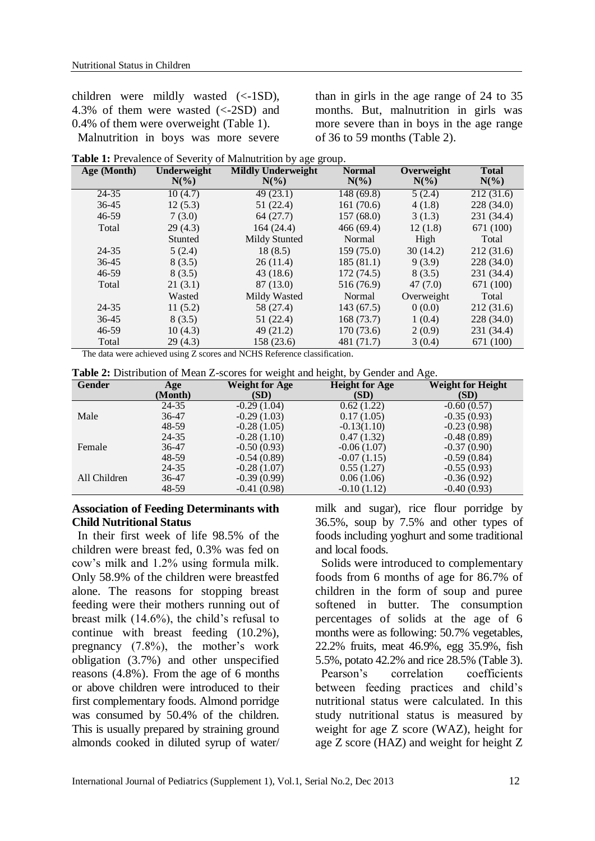children were mildly wasted (<-1SD), 4.3% of them were wasted (<-2SD) and 0.4% of them were overweight (Table 1). Malnutrition in boys was more severe

than in girls in the age range of 24 to 35 months. But, malnutrition in girls was more severe than in boys in the age range of 36 to 59 months (Table 2).

|  | Table 1: Prevalence of Severity of Malnutrition by age group. |  |  |  |  |  |
|--|---------------------------------------------------------------|--|--|--|--|--|
|  |                                                               |  |  |  |  |  |

| Age (Month) | Underweight<br>$N(\%)$ | <b>Mildly Underweight</b><br>$N(\%)$ | <b>Normal</b><br>$N(\%)$ | Overweight<br>$N(\%)$ | <b>Total</b><br>$N(\%)$ |
|-------------|------------------------|--------------------------------------|--------------------------|-----------------------|-------------------------|
| $24 - 35$   | 10(4.7)                | 49(23.1)                             | 148 (69.8)               | 5(2.4)                | 212 (31.6)              |
| $36 - 45$   | 12(5.3)                | 51 (22.4)                            | 161(70.6)                | 4(1.8)                | 228 (34.0)              |
| $46 - 59$   | 7(3.0)                 | 64(27.7)                             | 157(68.0)                | 3(1.3)                | 231 (34.4)              |
| Total       | 29(4.3)                | 164 (24.4)                           | 466(69.4)                | 12(1.8)               | 671 (100)               |
|             | Stunted                | Mildy Stunted                        | Normal                   | High                  | Total                   |
| 24-35       | 5(2.4)                 | 18(8.5)                              | 159(75.0)                | 30(14.2)              | 212(31.6)               |
| $36 - 45$   | 8(3.5)                 | 26(11.4)                             | 185(81.1)                | 9(3.9)                | 228 (34.0)              |
| 46-59       | 8(3.5)                 | 43 (18.6)                            | 172 (74.5)               | 8(3.5)                | 231 (34.4)              |
| Total       | 21(3.1)                | 87 (13.0)                            | 516 (76.9)               | 47(7.0)               | 671 (100)               |
|             | Wasted                 | Mildy Wasted                         | Normal                   | Overweight            | Total                   |
| 24-35       | 11(5.2)                | 58 (27.4)                            | 143(67.5)                | 0(0.0)                | 212(31.6)               |
| $36 - 45$   | 8(3.5)                 | 51(22.4)                             | 168 (73.7)               | 1(0.4)                | 228 (34.0)              |
| $46 - 59$   | 10(4.3)                | 49 (21.2)                            | 170(73.6)                | 2(0.9)                | 231 (34.4)              |
| Total       | 29(4.3)                | 158 (23.6)                           | 481 (71.7)               | 3(0.4)                | 671 (100)               |

The data were achieved using Z scores and NCHS Reference classification.

| Table 2: Distribution of Mean Z-scores for weight and height, by Gender and Age. |  |  |
|----------------------------------------------------------------------------------|--|--|
|----------------------------------------------------------------------------------|--|--|

| <b>Gender</b> | Age     | <b>Weight for Age</b> | ັ<br><b>Height for Age</b> | <b>Weight for Height</b> |
|---------------|---------|-----------------------|----------------------------|--------------------------|
|               | (Month) | (SD)                  | (SD)                       | (SD)                     |
|               | 24-35   | $-0.29(1.04)$         | 0.62(1.22)                 | $-0.60(0.57)$            |
| Male          | 36-47   | $-0.29(1.03)$         | 0.17(1.05)                 | $-0.35(0.93)$            |
|               | 48-59   | $-0.28(1.05)$         | $-0.13(1.10)$              | $-0.23(0.98)$            |
|               | 24-35   | $-0.28(1.10)$         | 0.47(1.32)                 | $-0.48(0.89)$            |
| Female        | 36-47   | $-0.50(0.93)$         | $-0.06(1.07)$              | $-0.37(0.90)$            |
|               | 48-59   | $-0.54(0.89)$         | $-0.07(1.15)$              | $-0.59(0.84)$            |
|               | 24-35   | $-0.28(1.07)$         | 0.55(1.27)                 | $-0.55(0.93)$            |
| All Children  | 36-47   | $-0.39(0.99)$         | 0.06(1.06)                 | $-0.36(0.92)$            |
|               | 48-59   | $-0.41(0.98)$         | $-0.10(1.12)$              | $-0.40(0.93)$            |

### **Association of Feeding Determinants with Child Nutritional Status**

In their first week of life 98.5% of the children were breast fed, 0.3% was fed on cow's milk and 1.2% using formula milk. Only 58.9% of the children were breastfed alone. The reasons for stopping breast feeding were their mothers running out of breast milk (14.6%), the child's refusal to continue with breast feeding (10.2%), pregnancy (7.8%), the mother's work obligation (3.7%) and other unspecified reasons (4.8%). From the age of 6 months or above children were introduced to their first complementary foods. Almond porridge was consumed by 50.4% of the children. This is usually prepared by straining ground almonds cooked in diluted syrup of water/

milk and sugar), rice flour porridge by 36.5%, soup by 7.5% and other types of foods including yoghurt and some traditional and local foods.

Solids were introduced to complementary foods from 6 months of age for 86.7% of children in the form of soup and puree softened in butter. The consumption percentages of solids at the age of 6 months were as following: 50.7% vegetables, 22.2% fruits, meat 46.9%, egg 35.9%, fish 5.5%, potato 42.2% and rice 28.5% (Table 3). Pearson's correlation coefficients between feeding practices and child's nutritional status were calculated. In this study nutritional status is measured by weight for age Z score (WAZ), height for age Z score (HAZ) and weight for height Z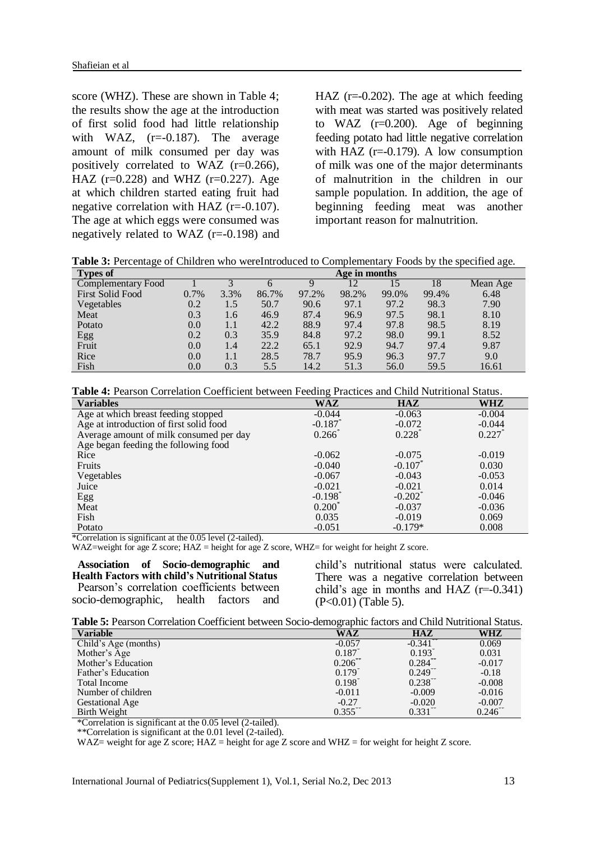score (WHZ). These are shown in Table 4; the results show the age at the introduction of first solid food had little relationship with WAZ,  $(r=0.187)$ . The average amount of milk consumed per day was positively correlated to WAZ (r=0.266), HAZ  $(r=0.228)$  and WHZ  $(r=0.227)$ . Age at which children started eating fruit had negative correlation with HAZ (r=-0.107). The age at which eggs were consumed was negatively related to WAZ (r=-0.198) and HAZ  $(r=0.202)$ . The age at which feeding with meat was started was positively related to WAZ (r=0.200). Age of beginning feeding potato had little negative correlation with HAZ  $(r=0.179)$ . A low consumption of milk was one of the major determinants of malnutrition in the children in our sample population. In addition, the age of beginning feeding meat was another important reason for malnutrition.

**Table 3:** Percentage of Children who wereIntroduced to Complementary Foods by the specified age.

| <b>Types of</b>         | Age in months |      |       |       |       |       |       |          |
|-------------------------|---------------|------|-------|-------|-------|-------|-------|----------|
| Complementary Food      |               |      | n     |       | 12    |       | 18    | Mean Age |
| <b>First Solid Food</b> | 0.7%          | 3.3% | 86.7% | 97.2% | 98.2% | 99.0% | 99.4% | 6.48     |
| Vegetables              | 0.2           | 1.5  | 50.7  | 90.6  | 97.1  | 97.2  | 98.3  | 7.90     |
| Meat                    | 0.3           | 1.6  | 46.9  | 87.4  | 96.9  | 97.5  | 98.1  | 8.10     |
| Potato                  | 0.0           | 1.1  | 42.2  | 88.9  | 97.4  | 97.8  | 98.5  | 8.19     |
| Egg<br>Fruit            | 0.2           | 0.3  | 35.9  | 84.8  | 97.2  | 98.0  | 99.1  | 8.52     |
|                         | 0.0           | 1.4  | 22.2  | 65.1  | 92.9  | 94.7  | 97.4  | 9.87     |
| Rice                    | 0.0           | 1.1  | 28.5  | 78.7  | 95.9  | 96.3  | 97.7  | 9.0      |
| Fish                    | 0.0           | 0.3  | 5.5   | 14.2  | 51.3  | 56.0  | 59.5  | 16.61    |

| <b>Variables</b>                                                     | <b>WAZ</b>            | HAZ                   | WHZ      |
|----------------------------------------------------------------------|-----------------------|-----------------------|----------|
| Age at which breast feeding stopped                                  | $-0.044$              | $-0.063$              | $-0.004$ |
| Age at introduction of first solid food                              | $-0.187$              | $-0.072$              | $-0.044$ |
| Average amount of milk consumed per day                              | $0.266^{\degree}$     | $0.228^{\degree}$     | 0.227    |
| Age began feeding the following food                                 |                       |                       |          |
| Rice                                                                 | $-0.062$              | $-0.075$              | $-0.019$ |
| Fruits                                                               | $-0.040$              | $-0.107$ <sup>*</sup> | 0.030    |
| Vegetables                                                           | $-0.067$              | $-0.043$              | $-0.053$ |
| Juice                                                                | $-0.021$              | $-0.021$              | 0.014    |
| Egg                                                                  | $-0.198$ <sup>*</sup> | $-0.202$ <sup>*</sup> | $-0.046$ |
| Meat                                                                 | $0.200*$              | $-0.037$              | $-0.036$ |
| Fish                                                                 | 0.035                 | $-0.019$              | 0.069    |
| Potato<br>$\sim$<br>- - - -<br>$\sim$ $\sim$ $\sim$<br>$\sim$ $\sim$ | $-0.051$              | $-0.179*$             | 0.008    |

\*Correlation is significant at the 0.05 level (2-tailed).

WAZ=weight for age Z score; HAZ = height for age Z score, WHZ= for weight for height Z score.

**Association of Socio-demographic and Health Factors with child's Nutritional Status** Pearson's correlation coefficients between socio-demographic, health factors and

child's nutritional status were calculated. There was a negative correlation between child's age in months and  $HAZ$  ( $r=0.341$ ) (P<0.01) (Table 5).

| <b>Variable</b>        | WAZ                   | $H\Delta Z$           | WHZ               |
|------------------------|-----------------------|-----------------------|-------------------|
| Child's Age (months)   | $-0.057$              | $-0.341$              | 0.069             |
| Mother's Age           | 0.187                 | $0.193$ <sup>*</sup>  | 0.031             |
| Mother's Education     | $0.206^{\degree}$     | $0.284$ <sup>**</sup> | $-0.017$          |
| Father's Education     | $0.179^{^{\circ}}$    | $0.249$ <sup>**</sup> | $-0.18$           |
| <b>Total Income</b>    | $0.198$ <sup>*</sup>  | $0.238$ <sup>**</sup> | $-0.008$          |
| Number of children     | $-0.011$              | $-0.009$              | $-0.016$          |
| <b>Gestational Age</b> | $-0.27$               | $-0.020$              | $-0.007$          |
| Birth Weight           | $0.355$ <sup>**</sup> | 0.331                 | $0.246^{\degree}$ |

\*Correlation is significant at the 0.05 level (2-tailed).

\*\*Correlation is significant at the 0.01 level (2-tailed).

WAZ= weight for age Z score; HAZ = height for age Z score and WHZ = for weight for height Z score.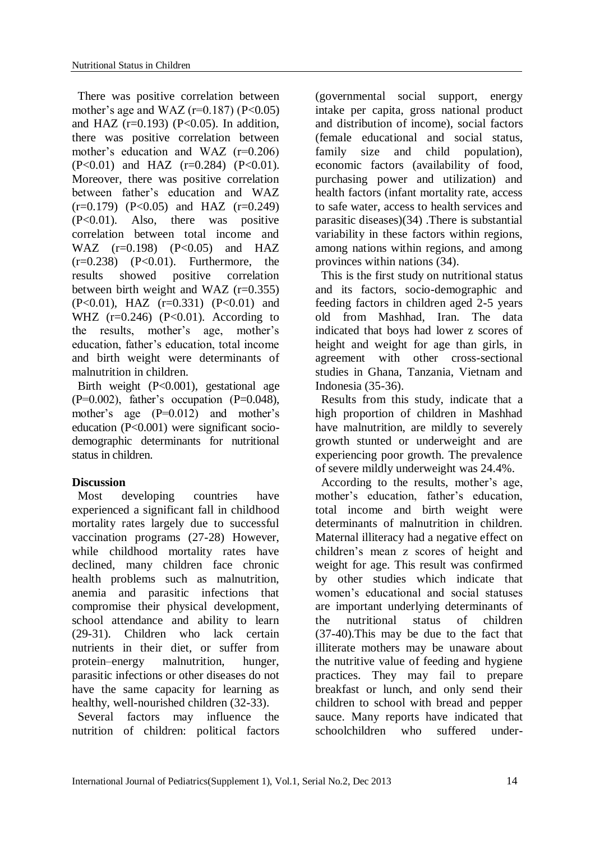There was positive correlation between mother's age and WAZ ( $r=0.187$ ) ( $P<0.05$ ) and HAZ ( $r=0.193$ ) ( $P<0.05$ ). In addition, there was positive correlation between mother's education and WAZ (r=0.206)  $(P<0.01)$  and HAZ  $(r=0.284)$   $(P<0.01)$ . Moreover, there was positive correlation between father's education and WAZ  $(r=0.179)$   $(P<0.05)$  and HAZ  $(r=0.249)$ (P<0.01). Also, there was positive correlation between total income and WAZ  $(r=0.198)$   $(P<0.05)$  and HAZ  $(r=0.238)$   $(P<0.01)$ . Furthermore, the results showed positive correlation between birth weight and WAZ  $(r=0.355)$ (P<0.01), HAZ (r=0.331) (P<0.01) and WHZ  $(r=0.246)$   $(P<0.01)$ . According to the results, mother's age, mother's education, father's education, total income and birth weight were determinants of malnutrition in children.

Birth weight (P<0.001), gestational age  $(P=0.002)$ , father's occupation  $(P=0.048)$ , mother's age (P=0.012) and mother's education (P<0.001) were significant sociodemographic determinants for nutritional status in children.

## **Discussion**

Most developing countries have experienced a significant fall in childhood mortality rates largely due to successful vaccination programs (27-28) However, while childhood mortality rates have declined, many children face chronic health problems such as malnutrition, anemia and parasitic infections that compromise their physical development, school attendance and ability to learn (29-31). Children who lack certain nutrients in their diet, or suffer from protein–energy malnutrition, hunger, parasitic infections or other diseases do not have the same capacity for learning as healthy, well-nourished children (32-33).

Several factors may influence the nutrition of children: political factors (governmental social support, energy intake per capita, gross national product and distribution of income), social factors (female educational and social status, family size and child population), economic factors (availability of food, purchasing power and utilization) and health factors (infant mortality rate, access to safe water, access to health services and parasitic diseases)(34) .There is substantial variability in these factors within regions, among nations within regions, and among provinces within nations (34).

This is the first study on nutritional status and its factors, socio-demographic and feeding factors in children aged 2-5 years old from Mashhad, Iran. The data indicated that boys had lower z scores of height and weight for age than girls, in agreement with other cross-sectional studies in Ghana, Tanzania, Vietnam and Indonesia (35-36).

Results from this study, indicate that a high proportion of children in Mashhad have malnutrition, are mildly to severely growth stunted or underweight and are experiencing poor growth. The prevalence of severe mildly underweight was 24.4%.

According to the results, mother's age, mother's education, father's education, total income and birth weight were determinants of malnutrition in children. Maternal illiteracy had a negative effect on children's mean z scores of height and weight for age. This result was confirmed by other studies which indicate that women's educational and social statuses are important underlying determinants of the nutritional status of children (37-40).This may be due to the fact that illiterate mothers may be unaware about the nutritive value of feeding and hygiene practices. They may fail to prepare breakfast or lunch, and only send their children to school with bread and pepper sauce. Many reports have indicated that schoolchildren who suffered under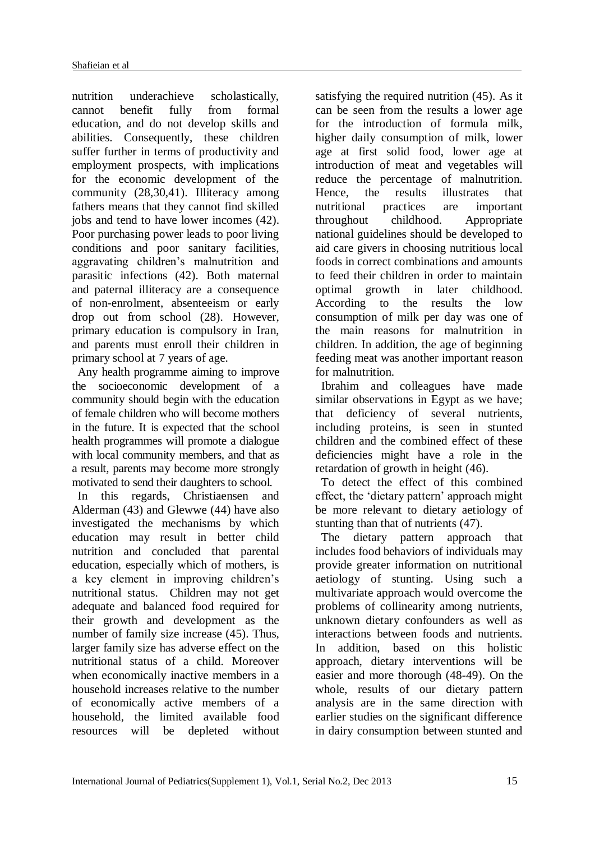nutrition underachieve scholastically, cannot benefit fully from formal education, and do not develop skills and abilities. Consequently, these children suffer further in terms of productivity and employment prospects, with implications for the economic development of the community (28,30,41). Illiteracy among fathers means that they cannot find skilled jobs and tend to have lower incomes (42). Poor purchasing power leads to poor living conditions and poor sanitary facilities, aggravating children's malnutrition and parasitic infections (42). Both maternal and paternal illiteracy are a consequence of non-enrolment, absenteeism or early drop out from school (28). However, primary education is compulsory in Iran, and parents must enroll their children in primary school at 7 years of age.

Any health programme aiming to improve the socioeconomic development of a community should begin with the education of female children who will become mothers in the future. It is expected that the school health programmes will promote a dialogue with local community members, and that as a result, parents may become more strongly motivated to send their daughters to school.

In this regards, Christiaensen and Alderman (43) and Glewwe (44) have also investigated the mechanisms by which education may result in better child nutrition and concluded that parental education, especially which of mothers, is a key element in improving children's nutritional status. Children may not get adequate and balanced food required for their growth and development as the number of family size increase (45). Thus, larger family size has adverse effect on the nutritional status of a child. Moreover when economically inactive members in a household increases relative to the number of economically active members of a household, the limited available food resources will be depleted without

satisfying the required nutrition (45). As it can be seen from the results a lower age for the introduction of formula milk, higher daily consumption of milk, lower age at first solid food, lower age at introduction of meat and vegetables will reduce the percentage of malnutrition. Hence, the results illustrates that nutritional practices are important throughout childhood. Appropriate national guidelines should be developed to aid care givers in choosing nutritious local foods in correct combinations and amounts to feed their children in order to maintain optimal growth in later childhood. According to the results the low consumption of milk per day was one of the main reasons for malnutrition in children. In addition, the age of beginning feeding meat was another important reason for malnutrition.

Ibrahim and colleagues have made similar observations in Egypt as we have; that deficiency of several nutrients, including proteins, is seen in stunted children and the combined effect of these deficiencies might have a role in the retardation of growth in height (46).

To detect the effect of this combined effect, the 'dietary pattern' approach might be more relevant to dietary aetiology of stunting than that of nutrients (47).

The dietary pattern approach that includes food behaviors of individuals may provide greater information on nutritional aetiology of stunting. Using such a multivariate approach would overcome the problems of collinearity among nutrients, unknown dietary confounders as well as interactions between foods and nutrients. In addition, based on this holistic approach, dietary interventions will be easier and more thorough (48-49). On the whole, results of our dietary pattern analysis are in the same direction with earlier studies on the significant difference in dairy consumption between stunted and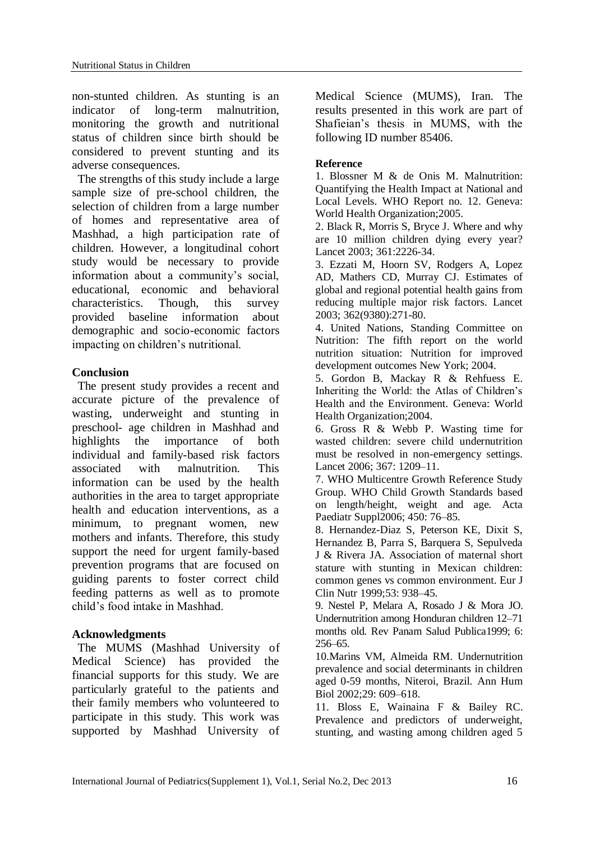non-stunted children. As stunting is an indicator of long-term malnutrition, monitoring the growth and nutritional status of children since birth should be considered to prevent stunting and its adverse consequences.

The strengths of this study include a large sample size of pre-school children, the selection of children from a large number of homes and representative area of Mashhad, a high participation rate of children. However, a longitudinal cohort study would be necessary to provide information about a community's social, educational, economic and behavioral characteristics. Though, this survey provided baseline information about demographic and socio-economic factors impacting on children's nutritional.

## **Conclusion**

The present study provides a recent and accurate picture of the prevalence of wasting, underweight and stunting in preschool- age children in Mashhad and highlights the importance of both individual and family-based risk factors associated with malnutrition. This information can be used by the health authorities in the area to target appropriate health and education interventions, as a minimum, to pregnant women, new mothers and infants. Therefore, this study support the need for urgent family-based prevention programs that are focused on guiding parents to foster correct child feeding patterns as well as to promote child's food intake in Mashhad.

## **Acknowledgments**

The MUMS (Mashhad University of Medical Science) has provided the financial supports for this study. We are particularly grateful to the patients and their family members who volunteered to participate in this study. This work was supported by Mashhad University of Medical Science (MUMS), Iran. The results presented in this work are part of Shafieian's thesis in MUMS, with the following ID number 85406.

### **Reference**

1. Blossner M & de Onis M. Malnutrition: Quantifying the Health Impact at National and Local Levels. WHO Report no. 12. Geneva: World Health Organization;2005.

2. Black R, Morris S, Bryce J. Where and why are 10 million children dying every year? Lancet 2003; 361:2226-34.

3. Ezzati M, Hoorn SV, Rodgers A, Lopez AD, Mathers CD, Murray CJ. Estimates of global and regional potential health gains from reducing multiple major risk factors. Lancet 2003; 362(9380):271-80.

4. United Nations, Standing Committee on Nutrition: The fifth report on the world nutrition situation: Nutrition for improved development outcomes New York; 2004.

5. Gordon B, Mackay R & Rehfuess E. Inheriting the World: the Atlas of Children's Health and the Environment. Geneva: World Health Organization;2004.

6. Gross R & Webb P. Wasting time for wasted children: severe child undernutrition must be resolved in non-emergency settings. Lancet 2006; 367: 1209–11.

7. WHO Multicentre Growth Reference Study Group. WHO Child Growth Standards based on length/height, weight and age. Acta Paediatr Suppl2006; 450: 76–85.

8. Hernandez-Diaz S, Peterson KE, Dixit S, Hernandez B, Parra S, Barquera S, Sepulveda J & Rivera JA. Association of maternal short stature with stunting in Mexican children: common genes vs common environment. Eur J Clin Nutr 1999;53: 938–45.

9. Nestel P, Melara A, Rosado J & Mora JO. Undernutrition among Honduran children 12–71 months old. Rev Panam Salud Publica1999; 6: 256–65.

10.Marins VM, Almeida RM. Undernutrition prevalence and social determinants in children aged 0-59 months, Niteroi, Brazil. Ann Hum Biol 2002;29: 609–618.

11. Bloss E, Wainaina F & Bailey RC. Prevalence and predictors of underweight, stunting, and wasting among children aged 5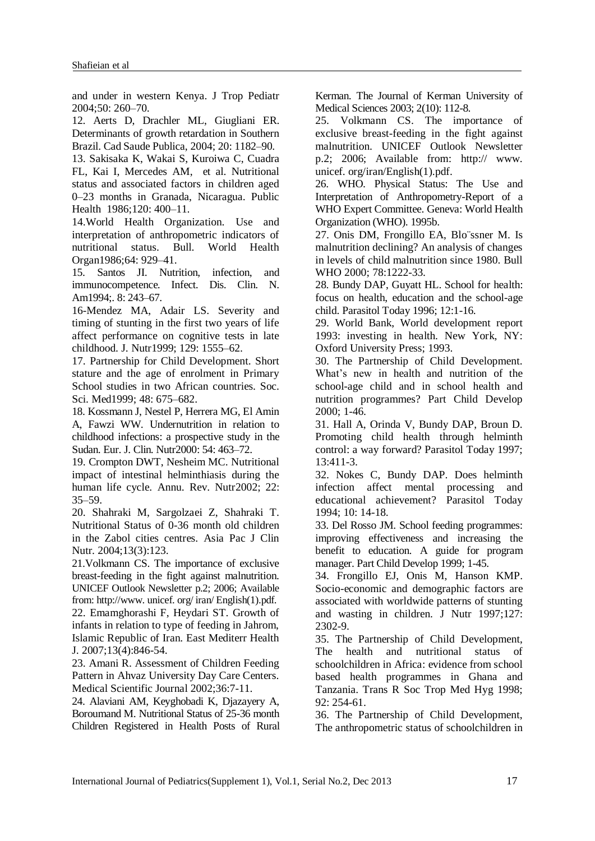and under in western Kenya. J Trop Pediatr 2004;50: 260–70.

12. Aerts D, Drachler ML, Giugliani ER. Determinants of growth retardation in Southern Brazil. Cad Saude Publica, 2004; 20: 1182–90.

13. Sakisaka K, Wakai S, Kuroiwa C, Cuadra FL, Kai I, Mercedes AM, et al. Nutritional status and associated factors in children aged 0–23 months in Granada, Nicaragua. Public Health 1986;120: 400–11.

14.World Health Organization. Use and interpretation of anthropometric indicators of nutritional status. Bull. World Health Organ1986;64: 929–41.

15. Santos JI. Nutrition, infection, and immunocompetence. Infect. Dis. Clin. N. Am1994;. 8: 243–67.

16-Mendez MA, Adair LS. Severity and timing of stunting in the first two years of life affect performance on cognitive tests in late childhood. J. Nutr1999; 129: 1555–62.

17. Partnership for Child Development. Short stature and the age of enrolment in Primary School studies in two African countries. Soc. Sci. Med1999; 48: 675–682.

18. Kossmann J, Nestel P, Herrera MG, El Amin A, Fawzi WW. Undernutrition in relation to childhood infections: a prospective study in the Sudan. Eur. J. Clin. Nutr2000: 54: 463–72.

19. Crompton DWT, Nesheim MC. Nutritional impact of intestinal helminthiasis during the human life cycle. Annu. Rev. Nutr2002; 22: 35–59.

20. Shahraki M, Sargolzaei Z, Shahraki T. Nutritional Status of 0-36 month old children in the Zabol cities centres. Asia Pac J Clin Nutr. 2004;13(3):123.

21.Volkmann CS. The importance of exclusive breast-feeding in the fight against malnutrition. UNICEF Outlook Newsletter p.2; 2006; Available from: http://www. unicef. org/ iran/ English(1).pdf.

22. Emamghorashi F, Heydari ST. Growth of infants in relation to type of feeding in Jahrom, Islamic Republic of Iran. East Mediterr Health J. 2007;13(4):846-54.

23. Amani R. Assessment of Children Feeding Pattern in Ahvaz University Day Care Centers. Medical Scientific Journal 2002;36:7-11.

24. Alaviani AM, Keyghobadi K, Djazayery A, Boroumand M. Nutritional Status of 25-36 month Children Registered in Health Posts of Rural Kerman. The Journal of Kerman University of Medical Sciences 2003; 2(10): 112-8.

25. Volkmann CS. The importance of exclusive breast-feeding in the fight against malnutrition. UNICEF Outlook Newsletter p.2; 2006; Available from: http:// www. unicef. org/iran/English(1).pdf.

26. WHO. Physical Status: The Use and Interpretation of Anthropometry-Report of a WHO Expert Committee. Geneva: World Health Organization (WHO). 1995b.

27. Onis DM, Frongillo EA, Blo¨ssner M. Is malnutrition declining? An analysis of changes in levels of child malnutrition since 1980. Bull WHO 2000; 78:1222-33.

28. Bundy DAP, Guyatt HL. School for health: focus on health, education and the school-age child. Parasitol Today 1996; 12:1-16.

29. World Bank, World development report 1993: investing in health. New York, NY: Oxford University Press; 1993.

30. The Partnership of Child Development. What's new in health and nutrition of the school-age child and in school health and nutrition programmes? Part Child Develop 2000; 1-46.

31. Hall A, Orinda V, Bundy DAP, Broun D. Promoting child health through helminth control: a way forward? Parasitol Today 1997; 13:411-3.

32. Nokes C, Bundy DAP. Does helminth infection affect mental processing and educational achievement? Parasitol Today 1994; 10: 14-18.

33. Del Rosso JM. School feeding programmes: improving effectiveness and increasing the benefit to education. A guide for program manager. Part Child Develop 1999; 1-45.

34. Frongillo EJ, Onis M, Hanson KMP. Socio-economic and demographic factors are associated with worldwide patterns of stunting and wasting in children. J Nutr 1997;127: 2302-9.

35. The Partnership of Child Development, The health and nutritional status of schoolchildren in Africa: evidence from school based health programmes in Ghana and Tanzania. Trans R Soc Trop Med Hyg 1998; 92: 254-61.

36. The Partnership of Child Development, The anthropometric status of schoolchildren in